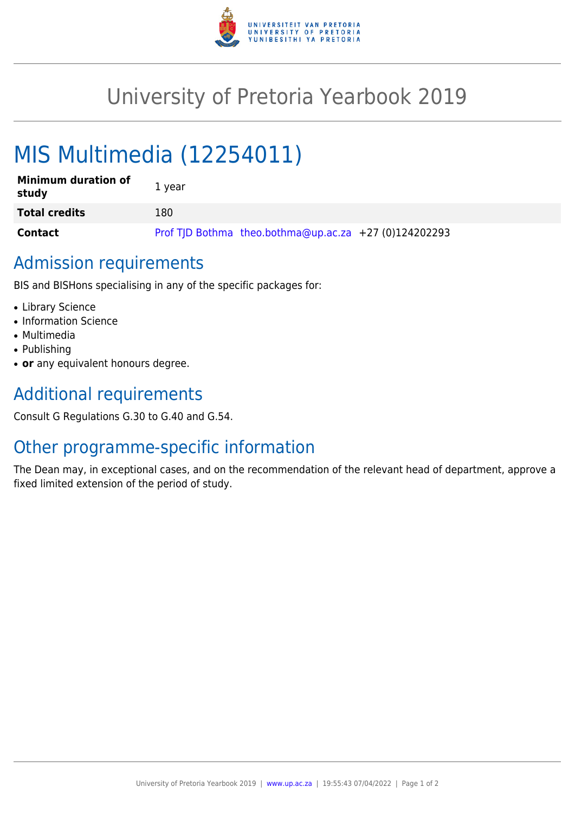

## University of Pretoria Yearbook 2019

# MIS Multimedia (12254011)

| <b>Minimum duration of</b><br>study | 1 year                                                |
|-------------------------------------|-------------------------------------------------------|
| <b>Total credits</b>                | 180                                                   |
| <b>Contact</b>                      | Prof TJD Bothma theo.bothma@up.ac.za +27 (0)124202293 |

#### Admission requirements

BIS and BISHons specialising in any of the specific packages for:

- Library Science
- Information Science
- Multimedia
- Publishing
- or any equivalent honours degree.

### Additional requirements

Consult G Regulations G.30 to G.40 and G.54.

#### Other programme-specific information

The Dean may, in exceptional cases, and on the recommendation of the relevant head of department, approve a fixed limited extension of the period of study.